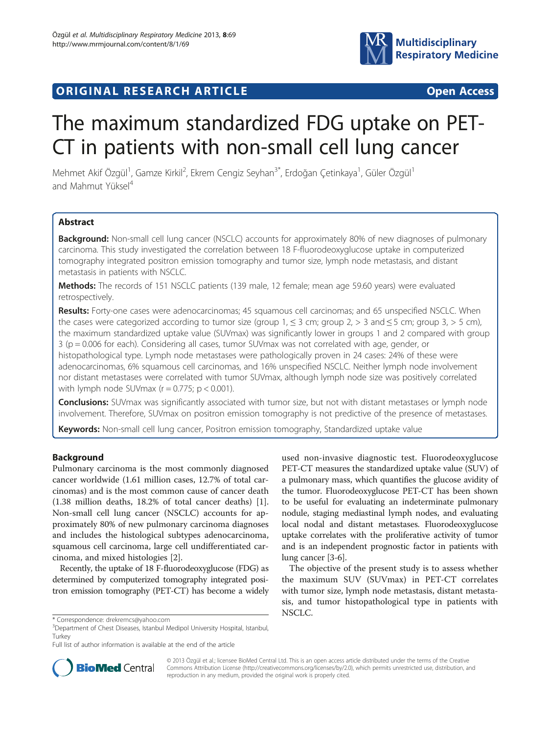

## ORIGINAL RESEARCH ARTICLE **CONSIDERING COMMUNISTIES**

# The maximum standardized FDG uptake on PET-CT in patients with non-small cell lung cancer

Mehmet Akif Özgül<sup>1</sup>, Gamze Kirkil<sup>2</sup>, Ekrem Cengiz Seyhan<sup>3\*</sup>, Erdoğan Çetinkaya<sup>1</sup>, Güler Özgül<sup>1</sup> and Mahmut Yüksel<sup>4</sup>

### **Abstract**

Background: Non-small cell lung cancer (NSCLC) accounts for approximately 80% of new diagnoses of pulmonary carcinoma. This study investigated the correlation between 18 F-fluorodeoxyglucose uptake in computerized tomography integrated positron emission tomography and tumor size, lymph node metastasis, and distant metastasis in patients with NSCLC.

Methods: The records of 151 NSCLC patients (139 male, 12 female; mean age 59.60 years) were evaluated retrospectively.

Results: Forty-one cases were adenocarcinomas; 45 squamous cell carcinomas; and 65 unspecified NSCLC. When the cases were categorized according to tumor size (group  $1, \leq 3$  cm; group  $2, > 3$  and  $\leq 5$  cm; group  $3, > 5$  cm), the maximum standardized uptake value (SUVmax) was significantly lower in groups 1 and 2 compared with group 3 (p = 0.006 for each). Considering all cases, tumor SUVmax was not correlated with age, gender, or histopathological type. Lymph node metastases were pathologically proven in 24 cases: 24% of these were adenocarcinomas, 6% squamous cell carcinomas, and 16% unspecified NSCLC. Neither lymph node involvement nor distant metastases were correlated with tumor SUVmax, although lymph node size was positively correlated with lymph node SUV max  $(r = 0.775; p < 0.001)$ .

**Conclusions:** SUVmax was significantly associated with tumor size, but not with distant metastases or lymph node involvement. Therefore, SUVmax on positron emission tomography is not predictive of the presence of metastases.

Keywords: Non-small cell lung cancer, Positron emission tomography, Standardized uptake value

#### Background

Pulmonary carcinoma is the most commonly diagnosed cancer worldwide (1.61 million cases, 12.7% of total carcinomas) and is the most common cause of cancer death (1.38 million deaths, 18.2% of total cancer deaths) [\[1](#page-3-0)]. Non-small cell lung cancer (NSCLC) accounts for approximately 80% of new pulmonary carcinoma diagnoses and includes the histological subtypes adenocarcinoma, squamous cell carcinoma, large cell undifferentiated carcinoma, and mixed histologies [\[2](#page-3-0)].

Recently, the uptake of 18 F-fluorodeoxyglucose (FDG) as determined by computerized tomography integrated positron emission tomography (PET-CT) has become a widely used non-invasive diagnostic test. Fluorodeoxyglucose PET-CT measures the standardized uptake value (SUV) of a pulmonary mass, which quantifies the glucose avidity of the tumor. Fluorodeoxyglucose PET-CT has been shown to be useful for evaluating an indeterminate pulmonary nodule, staging mediastinal lymph nodes, and evaluating local nodal and distant metastases. Fluorodeoxyglucose uptake correlates with the proliferative activity of tumor and is an independent prognostic factor in patients with lung cancer [[3-6\]](#page-3-0).

The objective of the present study is to assess whether the maximum SUV (SUVmax) in PET-CT correlates with tumor size, lymph node metastasis, distant metastasis, and tumor histopathological type in patients with NSCLC.



© 2013 Özgül et al.; licensee BioMed Central Ltd. This is an open access article distributed under the terms of the Creative Commons Attribution License [\(http://creativecommons.org/licenses/by/2.0\)](http://creativecommons.org/licenses/by/2.0), which permits unrestricted use, distribution, and reproduction in any medium, provided the original work is properly cited.

<sup>\*</sup> Correspondence: [drekremcs@yahoo.com](mailto:drekremcs@yahoo.com) <sup>3</sup>

<sup>&</sup>lt;sup>3</sup>Department of Chest Diseases, Istanbul Medipol University Hospital, Istanbul, Turkey

Full list of author information is available at the end of the article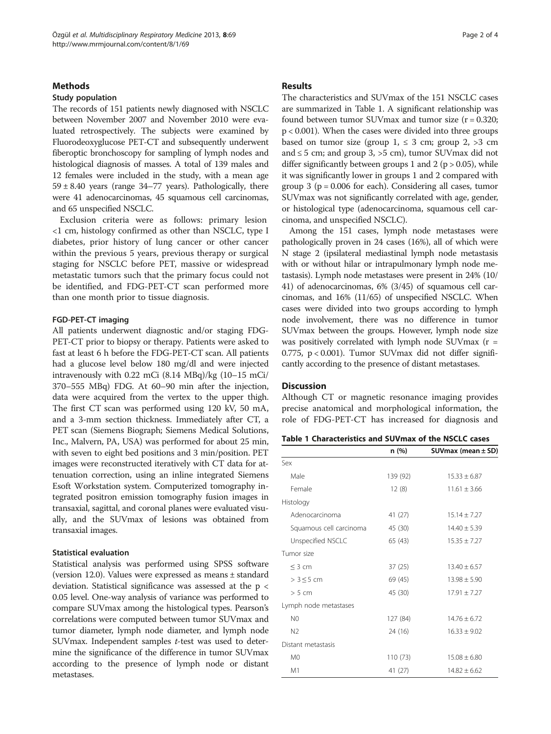#### **Methods**

#### Study population

The records of 151 patients newly diagnosed with NSCLC between November 2007 and November 2010 were evaluated retrospectively. The subjects were examined by Fluorodeoxyglucose PET-CT and subsequently underwent fiberoptic bronchoscopy for sampling of lymph nodes and histological diagnosis of masses. A total of 139 males and 12 females were included in the study, with a mean age  $59 \pm 8.40$  years (range 34-77 years). Pathologically, there were 41 adenocarcinomas, 45 squamous cell carcinomas, and 65 unspecified NSCLC.

Exclusion criteria were as follows: primary lesion <1 cm, histology confirmed as other than NSCLC, type I diabetes, prior history of lung cancer or other cancer within the previous 5 years, previous therapy or surgical staging for NSCLC before PET, massive or widespread metastatic tumors such that the primary focus could not be identified, and FDG-PET-CT scan performed more than one month prior to tissue diagnosis.

#### FGD-PET-CT imaging

All patients underwent diagnostic and/or staging FDG-PET-CT prior to biopsy or therapy. Patients were asked to fast at least 6 h before the FDG-PET-CT scan. All patients had a glucose level below 180 mg/dl and were injected intravenously with 0.22 mCi (8.14 MBq)/kg (10–15 mCi/ 370–555 MBq) FDG. At 60–90 min after the injection, data were acquired from the vertex to the upper thigh. The first CT scan was performed using 120 kV, 50 mA, and a 3-mm section thickness. Immediately after CT, a PET scan (Siemens Biograph; Siemens Medical Solutions, Inc., Malvern, PA, USA) was performed for about 25 min, with seven to eight bed positions and 3 min/position. PET images were reconstructed iteratively with CT data for attenuation correction, using an inline integrated Siemens Esoft Workstation system. Computerized tomography integrated positron emission tomography fusion images in transaxial, sagittal, and coronal planes were evaluated visually, and the SUVmax of lesions was obtained from transaxial images.

#### Statistical evaluation

Statistical analysis was performed using SPSS software (version 12.0). Values were expressed as means ± standard deviation. Statistical significance was assessed at the p < 0.05 level. One-way analysis of variance was performed to compare SUVmax among the histological types. Pearson's correlations were computed between tumor SUVmax and tumor diameter, lymph node diameter, and lymph node SUVmax. Independent samples t-test was used to determine the significance of the difference in tumor SUVmax according to the presence of lymph node or distant metastases.

#### Results

The characteristics and SUVmax of the 151 NSCLC cases are summarized in Table 1. A significant relationship was found between tumor SUVmax and tumor size  $(r = 0.320;$ p < 0.001). When the cases were divided into three groups based on tumor size (group  $1, \leq 3$  cm; group  $2, >3$  cm and  $\leq$  5 cm; and group 3,  $>$  5 cm), tumor SUV max did not differ significantly between groups 1 and 2 ( $p > 0.05$ ), while it was significantly lower in groups 1 and 2 compared with group  $3$  ( $p = 0.006$  for each). Considering all cases, tumor SUVmax was not significantly correlated with age, gender, or histological type (adenocarcinoma, squamous cell carcinoma, and unspecified NSCLC).

Among the 151 cases, lymph node metastases were pathologically proven in 24 cases (16%), all of which were N stage 2 (ipsilateral mediastinal lymph node metastasis with or without hilar or intrapulmonary lymph node metastasis). Lymph node metastases were present in 24% (10/ 41) of adenocarcinomas, 6% (3/45) of squamous cell carcinomas, and 16% (11/65) of unspecified NSCLC. When cases were divided into two groups according to lymph node involvement, there was no difference in tumor SUVmax between the groups. However, lymph node size was positively correlated with lymph node SUVmax  $(r =$ 0.775, p < 0.001). Tumor SUVmax did not differ significantly according to the presence of distant metastases.

#### **Discussion**

Although CT or magnetic resonance imaging provides precise anatomical and morphological information, the role of FDG-PET-CT has increased for diagnosis and

Table 1 Characteristics and SUVmax of the NSCLC cases

|                         | n (%)    | SUV max (mean $\pm$ SD) |
|-------------------------|----------|-------------------------|
| Sex                     |          |                         |
| Male                    | 139 (92) | $15.33 \pm 6.87$        |
| Female                  | 12(8)    | $11.61 + 3.66$          |
| Histology               |          |                         |
| Adenocarcinoma          | 41 (27)  | $15.14 + 7.27$          |
| Squamous cell carcinoma | 45 (30)  | $14.40 \pm 5.39$        |
| Unspecified NSCLC       | 65 (43)  | $15.35 \pm 7.27$        |
| Tumor size              |          |                         |
| $<$ 3 cm                | 37(25)   | $13.40 \pm 6.57$        |
| $>3 \leq 5$ cm          | 69 (45)  | $13.98 \pm 5.90$        |
| > 5 cm                  | 45 (30)  | $17.91 + 7.27$          |
| Lymph node metastases   |          |                         |
| N <sub>0</sub>          | 127 (84) | $14.76 + 6.72$          |
| N <sub>2</sub>          | 24 (16)  | $16.33 + 9.02$          |
| Distant metastasis      |          |                         |
| M <sub>0</sub>          | 110 (73) | $15.08 \pm 6.80$        |
| M1                      | 41 (27)  | $14.82 \pm 6.62$        |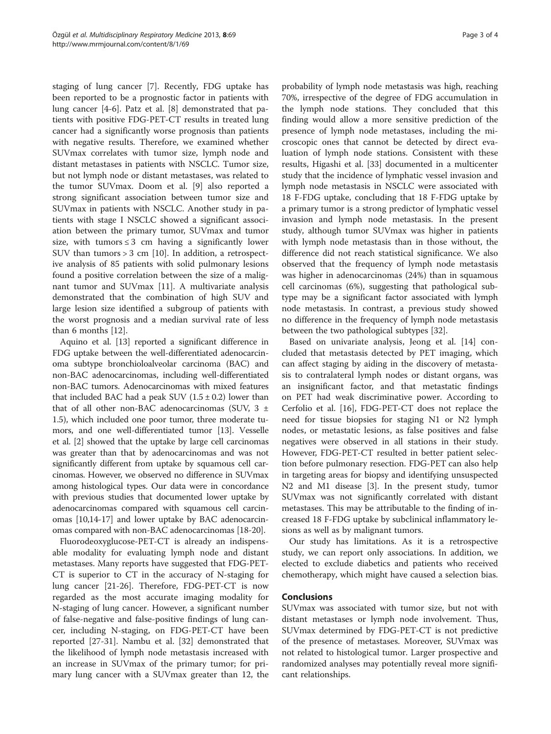staging of lung cancer [\[7\]](#page-3-0). Recently, FDG uptake has been reported to be a prognostic factor in patients with lung cancer [[4-6](#page-3-0)]. Patz et al. [[8\]](#page-3-0) demonstrated that patients with positive FDG-PET-CT results in treated lung cancer had a significantly worse prognosis than patients with negative results. Therefore, we examined whether SUVmax correlates with tumor size, lymph node and distant metastases in patients with NSCLC. Tumor size, but not lymph node or distant metastases, was related to the tumor SUVmax. Doom et al. [\[9](#page-3-0)] also reported a strong significant association between tumor size and SUVmax in patients with NSCLC. Another study in patients with stage I NSCLC showed a significant association between the primary tumor, SUVmax and tumor size, with tumors  $\leq 3$  cm having a significantly lower SUV than tumors > 3 cm [[10](#page-3-0)]. In addition, a retrospective analysis of 85 patients with solid pulmonary lesions found a positive correlation between the size of a malignant tumor and SUVmax [\[11\]](#page-3-0). A multivariate analysis demonstrated that the combination of high SUV and large lesion size identified a subgroup of patients with the worst prognosis and a median survival rate of less than 6 months [[12\]](#page-3-0).

Aquino et al. [\[13\]](#page-3-0) reported a significant difference in FDG uptake between the well-differentiated adenocarcinoma subtype bronchioloalveolar carcinoma (BAC) and non-BAC adenocarcinomas, including well-differentiated non-BAC tumors. Adenocarcinomas with mixed features that included BAC had a peak SUV  $(1.5 \pm 0.2)$  lower than that of all other non-BAC adenocarcinomas (SUV,  $3 \pm$ 1.5), which included one poor tumor, three moderate tumors, and one well-differentiated tumor [\[13\]](#page-3-0). Vesselle et al. [[2\]](#page-3-0) showed that the uptake by large cell carcinomas was greater than that by adenocarcinomas and was not significantly different from uptake by squamous cell carcinomas. However, we observed no difference in SUVmax among histological types. Our data were in concordance with previous studies that documented lower uptake by adenocarcinomas compared with squamous cell carcinomas [\[10,14](#page-3-0)-[17](#page-3-0)] and lower uptake by BAC adenocarcinomas compared with non-BAC adenocarcinomas [\[18-20\]](#page-3-0).

Fluorodeoxyglucose-PET-CT is already an indispensable modality for evaluating lymph node and distant metastases. Many reports have suggested that FDG-PET-CT is superior to CT in the accuracy of N-staging for lung cancer [[21-26](#page-3-0)]. Therefore, FDG-PET-CT is now regarded as the most accurate imaging modality for N-staging of lung cancer. However, a significant number of false-negative and false-positive findings of lung cancer, including N-staging, on FDG-PET-CT have been reported [\[27](#page-3-0)-[31\]](#page-3-0). Nambu et al. [\[32](#page-3-0)] demonstrated that the likelihood of lymph node metastasis increased with an increase in SUVmax of the primary tumor; for primary lung cancer with a SUVmax greater than 12, the

probability of lymph node metastasis was high, reaching 70%, irrespective of the degree of FDG accumulation in the lymph node stations. They concluded that this finding would allow a more sensitive prediction of the presence of lymph node metastases, including the microscopic ones that cannot be detected by direct evaluation of lymph node stations. Consistent with these results, Higashi et al. [[33\]](#page-3-0) documented in a multicenter study that the incidence of lymphatic vessel invasion and lymph node metastasis in NSCLC were associated with 18 F-FDG uptake, concluding that 18 F-FDG uptake by a primary tumor is a strong predictor of lymphatic vessel invasion and lymph node metastasis. In the present study, although tumor SUVmax was higher in patients with lymph node metastasis than in those without, the difference did not reach statistical significance. We also observed that the frequency of lymph node metastasis was higher in adenocarcinomas (24%) than in squamous cell carcinomas (6%), suggesting that pathological subtype may be a significant factor associated with lymph node metastasis. In contrast, a previous study showed no difference in the frequency of lymph node metastasis between the two pathological subtypes [\[32\]](#page-3-0).

Based on univariate analysis, Jeong et al. [[14](#page-3-0)] concluded that metastasis detected by PET imaging, which can affect staging by aiding in the discovery of metastasis to contralateral lymph nodes or distant organs, was an insignificant factor, and that metastatic findings on PET had weak discriminative power. According to Cerfolio et al. [\[16](#page-3-0)], FDG-PET-CT does not replace the need for tissue biopsies for staging N1 or N2 lymph nodes, or metastatic lesions, as false positives and false negatives were observed in all stations in their study. However, FDG-PET-CT resulted in better patient selection before pulmonary resection. FDG-PET can also help in targeting areas for biopsy and identifying unsuspected N2 and M1 disease [[3\]](#page-3-0). In the present study, tumor SUVmax was not significantly correlated with distant metastases. This may be attributable to the finding of increased 18 F-FDG uptake by subclinical inflammatory lesions as well as by malignant tumors.

Our study has limitations. As it is a retrospective study, we can report only associations. In addition, we elected to exclude diabetics and patients who received chemotherapy, which might have caused a selection bias.

#### Conclusions

SUVmax was associated with tumor size, but not with distant metastases or lymph node involvement. Thus, SUVmax determined by FDG-PET-CT is not predictive of the presence of metastases. Moreover, SUVmax was not related to histological tumor. Larger prospective and randomized analyses may potentially reveal more significant relationships.